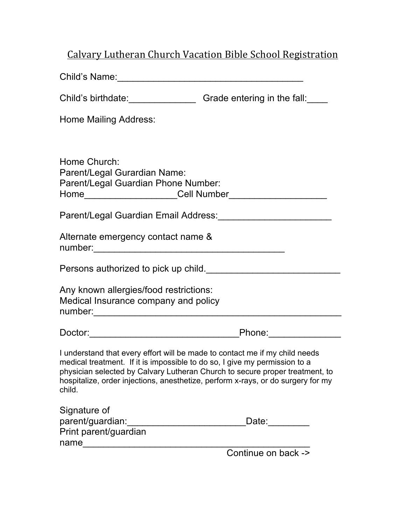## Calvary Lutheran Church Vacation Bible School Registration

| Child's birthdate:<br><u> Child's</u> birthdate:<br><u> Child's</u> birthdate:                                                                                                                                                                                                                                                          |                     |
|-----------------------------------------------------------------------------------------------------------------------------------------------------------------------------------------------------------------------------------------------------------------------------------------------------------------------------------------|---------------------|
| Home Mailing Address:                                                                                                                                                                                                                                                                                                                   |                     |
|                                                                                                                                                                                                                                                                                                                                         |                     |
| Home Church:<br>Parent/Legal Gurardian Name:<br>Parent/Legal Guardian Phone Number:                                                                                                                                                                                                                                                     |                     |
| Parent/Legal Guardian Email Address:<br><u>Lander Address:</u>                                                                                                                                                                                                                                                                          |                     |
| Alternate emergency contact name &                                                                                                                                                                                                                                                                                                      |                     |
| Persons authorized to pick up child.                                                                                                                                                                                                                                                                                                    |                     |
| Any known allergies/food restrictions:<br>Medical Insurance company and policy                                                                                                                                                                                                                                                          |                     |
|                                                                                                                                                                                                                                                                                                                                         |                     |
| I understand that every effort will be made to contact me if my child needs<br>medical treatment. If it is impossible to do so, I give my permission to a<br>physician selected by Calvary Lutheran Church to secure proper treatment, to<br>hospitalize, order injections, anesthetize, perform x-rays, or do surgery for my<br>child. |                     |
| Signature of                                                                                                                                                                                                                                                                                                                            |                     |
| parent/guardian:<br>Print parent/guardian                                                                                                                                                                                                                                                                                               | Date: Date:         |
| name                                                                                                                                                                                                                                                                                                                                    | Continue on back -> |